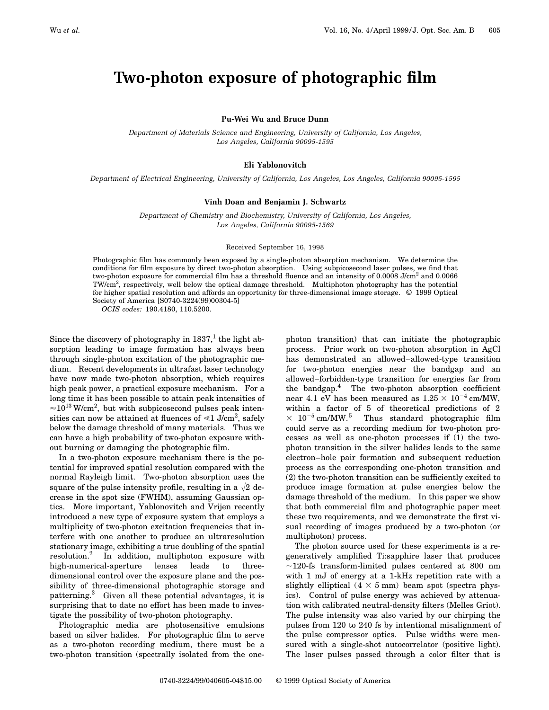# **Two-photon exposure of photographic film**

#### **Pu-Wei Wu and Bruce Dunn**

*Department of Materials Science and Engineering, University of California, Los Angeles, Los Angeles, California 90095-1595*

#### **Eli Yablonovitch**

*Department of Electrical Engineering, University of California, Los Angeles, Los Angeles, California 90095-1595*

### **Vinh Doan and Benjamin J. Schwartz**

*Department of Chemistry and Biochemistry, University of California, Los Angeles, Los Angeles, California 90095-1569*

#### Received September 16, 1998

Photographic film has commonly been exposed by a single-photon absorption mechanism. We determine the conditions for film exposure by direct two-photon absorption. Using subpicosecond laser pulses, we find that two-photon exposure for commercial film has a threshold fluence and an intensity of 0.0008 J/cm<sup>2</sup> and 0.0066 TW/cm<sup>2</sup>, respectively, well below the optical damage threshold. Multiphoton photography has the potential for higher spatial resolution and affords an opportunity for three-dimensional image storage. © 1999 Optical Society of America [S0740-3224(99)00304-5]

*OCIS codes:* 190.4180, 110.5200.

Since the discovery of photography in  $1837<sup>1</sup>$ , the light absorption leading to image formation has always been through single-photon excitation of the photographic medium. Recent developments in ultrafast laser technology have now made two-photon absorption, which requires high peak power, a practical exposure mechanism. For a long time it has been possible to attain peak intensities of  $\approx$ 10<sup>13</sup> W/cm<sup>2</sup>, but with subpicosecond pulses peak intensities can now be attained at fluences of  $\ll$ 1 J/cm<sup>2</sup>, safely below the damage threshold of many materials. Thus we can have a high probability of two-photon exposure without burning or damaging the photographic film.

In a two-photon exposure mechanism there is the potential for improved spatial resolution compared with the normal Rayleigh limit. Two-photon absorption uses the square of the pulse intensity profile, resulting in a  $\sqrt{2}$  decrease in the spot size (FWHM), assuming Gaussian optics. More important, Yablonovitch and Vrijen recently introduced a new type of exposure system that employs a multiplicity of two-photon excitation frequencies that interfere with one another to produce an ultraresolution stationary image, exhibiting a true doubling of the spatial resolution.2 In addition, multiphoton exposure with high-numerical-aperture lenses leads to threedimensional control over the exposure plane and the possibility of three-dimensional photographic storage and patterning.<sup>3</sup> Given all these potential advantages, it is surprising that to date no effort has been made to investigate the possibility of two-photon photography.

Photographic media are photosensitive emulsions based on silver halides. For photographic film to serve as a two-photon recording medium, there must be a two-photon transition (spectrally isolated from the onephoton transition) that can initiate the photographic process. Prior work on two-photon absorption in AgCl has demonstrated an allowed–allowed-type transition for two-photon energies near the bandgap and an allowed–forbidden-type transition for energies far from the bandgap. $4$  The two-photon absorption coefficient near 4.1 eV has been measured as  $1.25 \times 10^{-4}$  cm/MW, within a factor of 5 of theoretical predictions of 2  $\times$   $10^{-5}\,\mathrm{cm}/\mathrm{MW.}^5$   $\;$  Thus standard photographic film could serve as a recording medium for two-photon processes as well as one-photon processes if (1) the twophoton transition in the silver halides leads to the same electron–hole pair formation and subsequent reduction process as the corresponding one-photon transition and (2) the two-photon transition can be sufficiently excited to produce image formation at pulse energies below the damage threshold of the medium. In this paper we show that both commercial film and photographic paper meet these two requirements, and we demonstrate the first visual recording of images produced by a two-photon (or multiphoton) process.

The photon source used for these experiments is a regeneratively amplified Ti:sapphire laser that produces  $\sim$ 120-fs transform-limited pulses centered at 800 nm with 1 mJ of energy at a 1-kHz repetition rate with a slightly elliptical  $(4 \times 5 \text{ mm})$  beam spot (spectra physics). Control of pulse energy was achieved by attenuation with calibrated neutral-density filters (Melles Griot). The pulse intensity was also varied by our chirping the pulses from 120 to 240 fs by intentional misalignment of the pulse compressor optics. Pulse widths were measured with a single-shot autocorrelator (positive light). The laser pulses passed through a color filter that is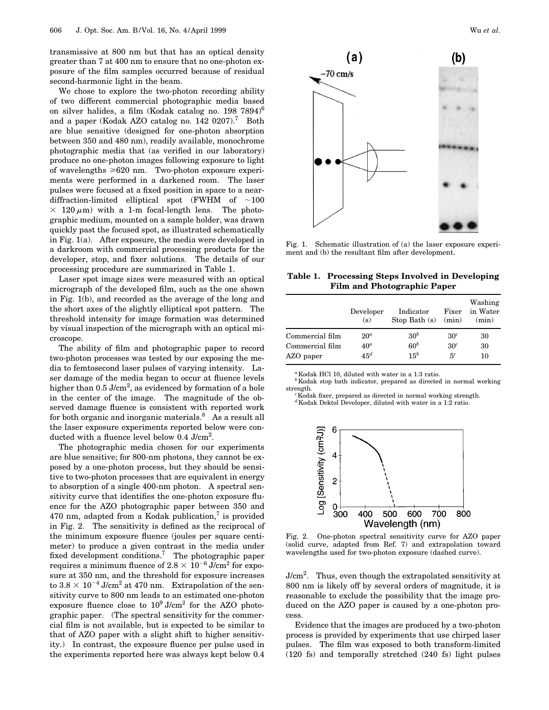transmissive at 800 nm but that has an optical density greater than 7 at 400 nm to ensure that no one-photon exposure of the film samples occurred because of residual second-harmonic light in the beam.

We chose to explore the two-photon recording ability of two different commercial photographic media based on silver halides, a film (Kodak catalog no.  $198\,7894\text{)}^6$ and a paper (Kodak AZO catalog no. 142 0207).<sup>7</sup> Both are blue sensitive (designed for one-photon absorption between 350 and 480 nm), readily available, monochrome photographic media that (as verified in our laboratory) produce no one-photon images following exposure to light of wavelengths  $\geq 620$  nm. Two-photon exposure experiments were performed in a darkened room. The laser pulses were focused at a fixed position in space to a neardiffraction-limited elliptical spot (FWHM of  $\sim$ 100  $\times$  120  $\mu$ m) with a 1-m focal-length lens. The photographic medium, mounted on a sample holder, was drawn quickly past the focused spot, as illustrated schematically in Fig. 1(a). After exposure, the media were developed in a darkroom with commercial processing products for the developer, stop, and fixer solutions. The details of our processing procedure are summarized in Table 1.

Laser spot image sizes were measured with an optical micrograph of the developed film, such as the one shown in Fig. 1(b), and recorded as the average of the long and the short axes of the slightly elliptical spot pattern. The threshold intensity for image formation was determined by visual inspection of the micrograph with an optical microscope.

The ability of film and photographic paper to record two-photon processes was tested by our exposing the media to femtosecond laser pulses of varying intensity. Laser damage of the media began to occur at fluence levels higher than 0.5 J/cm<sup>2</sup>, as evidenced by formation of a hole in the center of the image. The magnitude of the observed damage fluence is consistent with reported work for both organic and inorganic materials. $8$  As a result all the laser exposure experiments reported below were conducted with a fluence level below 0.4  $\text{J/cm}^2$ .

The photographic media chosen for our experiments are blue sensitive; for 800-nm photons, they cannot be exposed by a one-photon process, but they should be sensitive to two-photon processes that are equivalent in energy to absorption of a single 400-nm photon. A spectral sensitivity curve that identifies the one-photon exposure fluence for the AZO photographic paper between 350 and 470 nm, adapted from a Kodak publication,<sup>7</sup> is provided in Fig. 2. The sensitivity is defined as the reciprocal of the minimum exposure fluence (joules per square centimeter) to produce a given contrast in the media under fixed development conditions.<sup>7</sup> The photographic paper requires a minimum fluence of  $2.8 \times 10^{-6}$  J/cm<sup>2</sup> for exposure at 350 nm, and the threshold for exposure increases to  $3.8 \times 10^{-4}$  J/cm<sup>2</sup> at 470 nm. Extrapolation of the sensitivity curve to 800 nm leads to an estimated one-photon exposure fluence close to  $10^9$  J/cm<sup>2</sup> for the AZO photographic paper. (The spectral sensitivity for the commercial film is not available, but is expected to be similar to that of AZO paper with a slight shift to higher sensitivity.) In contrast, the exposure fluence per pulse used in the experiments reported here was always kept below 0.4



Fig. 1. Schematic illustration of (a) the laser exposure experiment and (b) the resultant film after development.

| Table 1. Processing Steps Involved in Developing |
|--------------------------------------------------|
| <b>Film and Photographic Paper</b>               |

|                 | Developer<br>(s) | Indicator<br>Stop Bath $(s)$ (min) | Fixer           | Washing<br>in Water<br>(min) |
|-----------------|------------------|------------------------------------|-----------------|------------------------------|
| Commercial film | $20^a$           | 30 <sup>b</sup>                    | 30 <sup>c</sup> | 30                           |
| Commercial film | $40^a$           | $60^b$                             | 30 <sup>c</sup> | 30                           |
| AZO paper       | $45^d$           | $15^b$                             | 5 <sup>c</sup>  | 10                           |

*<sup>a</sup>*Kodak HCl 10, diluted with water in a 1:3 ratio.

 $^b\mathrm{\,Kodak}$  stop bath indicator, prepared as directed in normal working strength.

<sup>c</sup>Kodak fixer, prepared as directed in normal working strength.

*d* Kodak Dektol Developer, diluted with water in a 1:2 ratio.



Fig. 2. One-photon spectral sensitivity curve for AZO paper (solid curve, adapted from Ref. 7) and extrapolation toward wavelengths used for two-photon exposure (dashed curve).

J/cm<sup>2</sup>. Thus, even though the extrapolated sensitivity at 800 nm is likely off by several orders of magnitude, it is reasonable to exclude the possibility that the image produced on the AZO paper is caused by a one-photon process.

Evidence that the images are produced by a two-photon process is provided by experiments that use chirped laser pulses. The film was exposed to both transform-limited (120 fs) and temporally stretched (240 fs) light pulses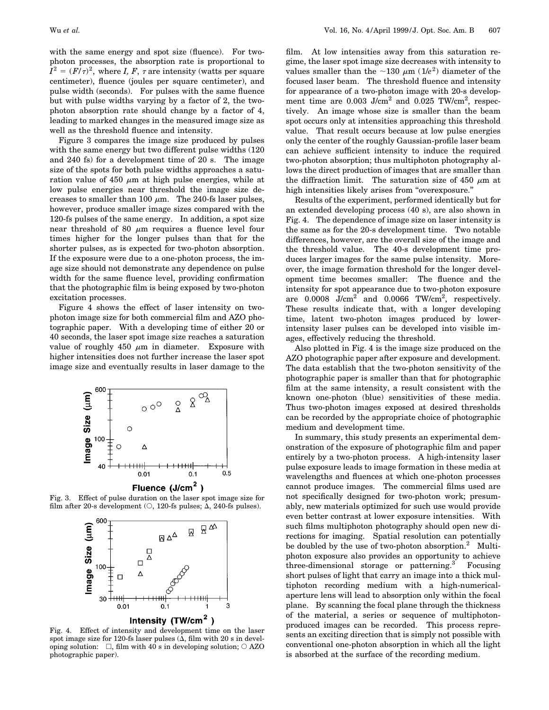with the same energy and spot size (fluence). For twophoton processes, the absorption rate is proportional to  $I^{2} = (F/\tau)^{2}$ , where *I, F,*  $\tau$  are intensity (watts per square centimeter), fluence (joules per square centimeter), and pulse width (seconds). For pulses with the same fluence but with pulse widths varying by a factor of 2, the twophoton absorption rate should change by a factor of 4, leading to marked changes in the measured image size as well as the threshold fluence and intensity.

Figure 3 compares the image size produced by pulses with the same energy but two different pulse widths (120 and 240 fs) for a development time of 20 s. The image size of the spots for both pulse widths approaches a saturation value of 450  $\mu$ m at high pulse energies, while at low pulse energies near threshold the image size decreases to smaller than 100  $\mu$ m. The 240-fs laser pulses, however, produce smaller image sizes compared with the 120-fs pulses of the same energy. In addition, a spot size near threshold of 80  $\mu$ m requires a fluence level four times higher for the longer pulses than that for the shorter pulses, as is expected for two-photon absorption. If the exposure were due to a one-photon process, the image size should not demonstrate any dependence on pulse width for the same fluence level, providing confirmation that the photographic film is being exposed by two-photon excitation processes.

Figure 4 shows the effect of laser intensity on twophoton image size for both commercial film and AZO photographic paper. With a developing time of either 20 or 40 seconds, the laser spot image size reaches a saturation value of roughly 450  $\mu$ m in diameter. Exposure with higher intensities does not further increase the laser spot image size and eventually results in laser damage to the



Fluence (J/cm<sup>2</sup>  $\lambda$ 

Fig. 3. Effect of pulse duration on the laser spot image size for film after 20-s development ( $\circ$ , 120-fs pulses;  $\Delta$ , 240-fs pulses).



Fig. 4. Effect of intensity and development time on the laser spot image size for 120-fs laser pulses  $(\overline{\Delta},$  film with 20 s in developing solution:  $\Box$ , film with 40 s in developing solution;  $\bigcirc$  AZO photographic paper).

film. At low intensities away from this saturation regime, the laser spot image size decreases with intensity to values smaller than the  $\sim$ 130  $\mu$ m (1/*e*<sup>2</sup>) diameter of the focused laser beam. The threshold fluence and intensity for appearance of a two-photon image with 20-s development time are  $0.003$  J/cm<sup>2</sup> and  $0.025$  TW/cm<sup>2</sup>, respectively. An image whose size is smaller than the beam spot occurs only at intensities approaching this threshold value. That result occurs because at low pulse energies only the center of the roughly Gaussian-profile laser beam can achieve sufficient intensity to induce the required two-photon absorption; thus multiphoton photography allows the direct production of images that are smaller than the diffraction limit. The saturation size of 450  $\mu$ m at high intensities likely arises from ''overexposure.''

Results of the experiment, performed identically but for an extended developing process (40 s), are also shown in Fig. 4. The dependence of image size on laser intensity is the same as for the 20-s development time. Two notable differences, however, are the overall size of the image and the threshold value. The 40-s development time produces larger images for the same pulse intensity. Moreover, the image formation threshold for the longer development time becomes smaller: The fluence and the intensity for spot appearance due to two-photon exposure are  $0.0008$  J/cm<sup>2</sup> and  $0.0066$  TW/cm<sup>2</sup>, respectively. These results indicate that, with a longer developing time, latent two-photon images produced by lowerintensity laser pulses can be developed into visible images, effectively reducing the threshold.

Also plotted in Fig. 4 is the image size produced on the AZO photographic paper after exposure and development. The data establish that the two-photon sensitivity of the photographic paper is smaller than that for photographic film at the same intensity, a result consistent with the known one-photon (blue) sensitivities of these media. Thus two-photon images exposed at desired thresholds can be recorded by the appropriate choice of photographic medium and development time.

In summary, this study presents an experimental demonstration of the exposure of photographic film and paper entirely by a two-photon process. A high-intensity laser pulse exposure leads to image formation in these media at wavelengths and fluences at which one-photon processes cannot produce images. The commercial films used are not specifically designed for two-photon work; presumably, new materials optimized for such use would provide even better contrast at lower exposure intensities. With such films multiphoton photography should open new directions for imaging. Spatial resolution can potentially be doubled by the use of two-photon absorption.<sup>2</sup> Multiphoton exposure also provides an opportunity to achieve three-dimensional storage or patterning.<sup>3</sup> Focusing short pulses of light that carry an image into a thick multiphoton recording medium with a high-numericalaperture lens will lead to absorption only within the focal plane. By scanning the focal plane through the thickness of the material, a series or sequence of multiphotonproduced images can be recorded. This process represents an exciting direction that is simply not possible with conventional one-photon absorption in which all the light is absorbed at the surface of the recording medium.